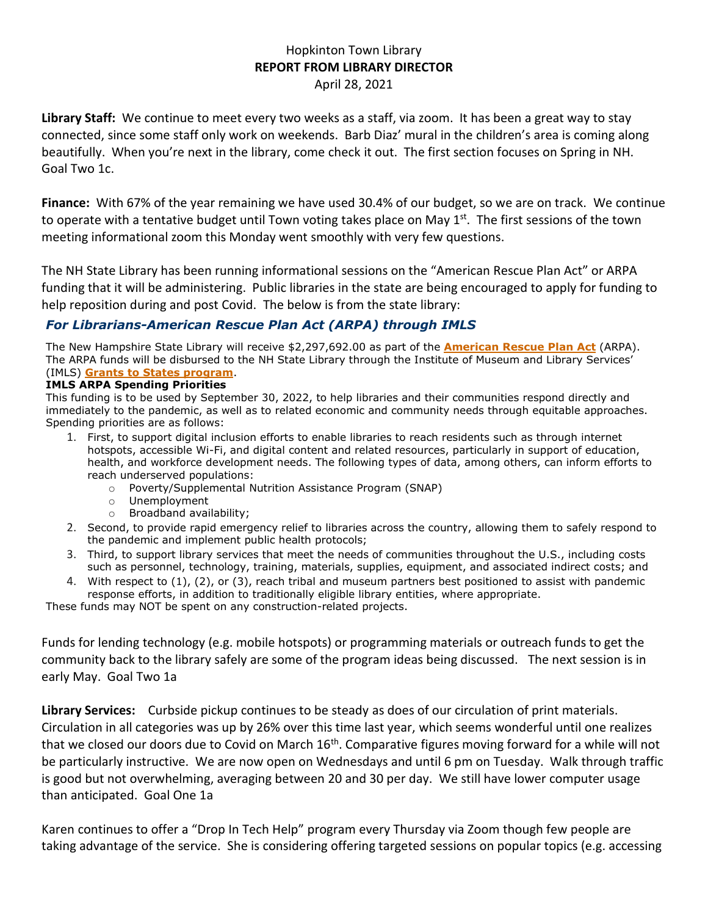## Hopkinton Town Library **REPORT FROM LIBRARY DIRECTOR** April 28, 2021

**Library Staff:** We continue to meet every two weeks as a staff, via zoom. It has been a great way to stay connected, since some staff only work on weekends. Barb Diaz' mural in the children's area is coming along beautifully. When you're next in the library, come check it out. The first section focuses on Spring in NH. Goal Two 1c.

**Finance:** With 67% of the year remaining we have used 30.4% of our budget, so we are on track.We continue to operate with a tentative budget until Town voting takes place on May 1<sup>st</sup>. The first sessions of the town meeting informational zoom this Monday went smoothly with very few questions.

The NH State Library has been running informational sessions on the "American Rescue Plan Act" or ARPA funding that it will be administering. Public libraries in the state are being encouraged to apply for funding to help reposition during and post Covid. The below is from the state library:

## *For Librarians-American Rescue Plan Act (ARPA) through IMLS*

The New Hampshire State Library will receive \$2,297,692.00 as part of the **[American](https://www.congress.gov/bill/117th-congress/house-bill/1319/text) Rescue Plan Act** (ARPA). The ARPA funds will be disbursed to the NH State Library through the Institute of Museum and Library Services' (IMLS) **Grants to States [program](https://www.imls.gov/grants/grant-programs/grants-states)**.

## **IMLS ARPA Spending Priorities**

This funding is to be used by September 30, 2022, to help libraries and their communities respond directly and immediately to the pandemic, as well as to related economic and community needs through equitable approaches. Spending priorities are as follows:

- 1. First, to support digital inclusion efforts to enable libraries to reach residents such as through internet hotspots, accessible Wi-Fi, and digital content and related resources, particularly in support of education, health, and workforce development needs. The following types of data, among others, can inform efforts to reach underserved populations:
	- o Poverty/Supplemental Nutrition Assistance Program (SNAP)
	- o Unemployment
	- o Broadband availability;
- 2. Second, to provide rapid emergency relief to libraries across the country, allowing them to safely respond to the pandemic and implement public health protocols;
- 3. Third, to support library services that meet the needs of communities throughout the U.S., including costs such as personnel, technology, training, materials, supplies, equipment, and associated indirect costs; and
- 4. With respect to (1), (2), or (3), reach tribal and museum partners best positioned to assist with pandemic response efforts, in addition to traditionally eligible library entities, where appropriate.

These funds may NOT be spent on any construction-related projects.

Funds for lending technology (e.g. mobile hotspots) or programming materials or outreach funds to get the community back to the library safely are some of the program ideas being discussed. The next session is in early May. Goal Two 1a

**Library Services:** Curbside pickup continues to be steady as does of our circulation of print materials. Circulation in all categories was up by 26% over this time last year, which seems wonderful until one realizes that we closed our doors due to Covid on March 16<sup>th</sup>. Comparative figures moving forward for a while will not be particularly instructive. We are now open on Wednesdays and until 6 pm on Tuesday. Walk through traffic is good but not overwhelming, averaging between 20 and 30 per day. We still have lower computer usage than anticipated. Goal One 1a

Karen continues to offer a "Drop In Tech Help" program every Thursday via Zoom though few people are taking advantage of the service. She is considering offering targeted sessions on popular topics (e.g. accessing